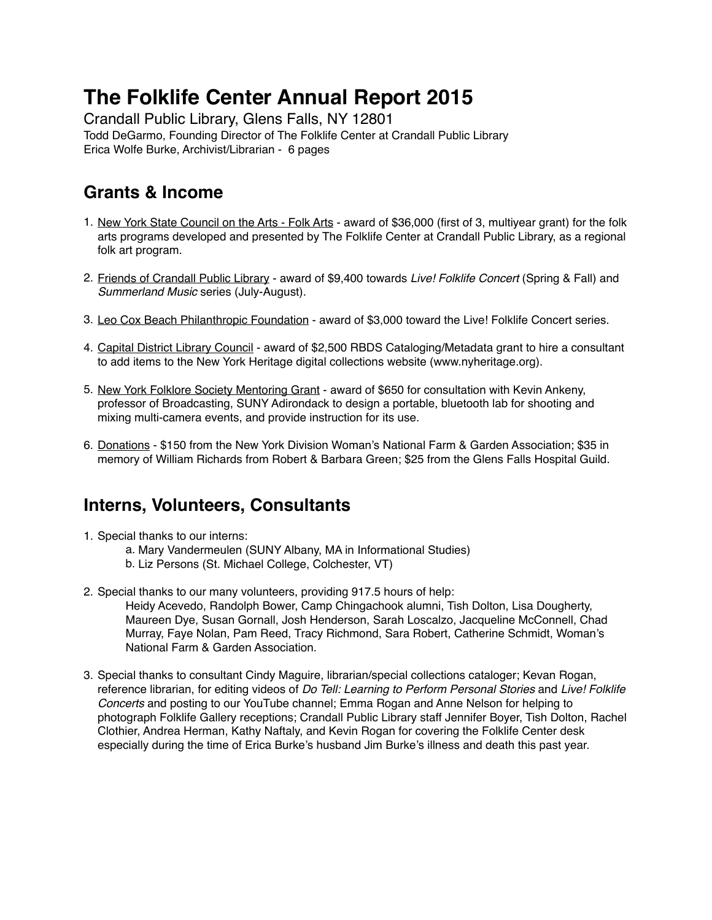# **The Folklife Center Annual Report 2015**

Crandall Public Library, Glens Falls, NY 12801 Todd DeGarmo, Founding Director of The Folklife Center at Crandall Public Library Erica Wolfe Burke, Archivist/Librarian - 6 pages

# **Grants & Income**

- 1. New York State Council on the Arts Folk Arts award of \$36,000 (first of 3, multiyear grant) for the folk arts programs developed and presented by The Folklife Center at Crandall Public Library, as a regional folk art program.
- 2. Friends of Crandall Public Library award of \$9,400 towards *Live! Folklife Concert* (Spring & Fall) and *Summerland Music* series (July-August).
- 3. Leo Cox Beach Philanthropic Foundation award of \$3,000 toward the Live! Folklife Concert series.
- 4. Capital District Library Council award of \$2,500 RBDS Cataloging/Metadata grant to hire a consultant to add items to the New York Heritage digital collections website [\(www.nyheritage.org\)](http://www.nyheritage.org).
- 5. New York Folklore Society Mentoring Grant award of \$650 for consultation with Kevin Ankeny, professor of Broadcasting, SUNY Adirondack to design a portable, bluetooth lab for shooting and mixing multi-camera events, and provide instruction for its use.
- 6. Donations \$150 from the New York Division Woman's National Farm & Garden Association; \$35 in memory of William Richards from Robert & Barbara Green; \$25 from the Glens Falls Hospital Guild.

### **Interns, Volunteers, Consultants**

- 1. Special thanks to our interns:
	- a. Mary Vandermeulen (SUNY Albany, MA in Informational Studies)
	- b. Liz Persons (St. Michael College, Colchester, VT)
- 2. Special thanks to our many volunteers, providing 917.5 hours of help: Heidy Acevedo, Randolph Bower, Camp Chingachook alumni, Tish Dolton, Lisa Dougherty, Maureen Dye, Susan Gornall, Josh Henderson, Sarah Loscalzo, Jacqueline McConnell, Chad Murray, Faye Nolan, Pam Reed, Tracy Richmond, Sara Robert, Catherine Schmidt, Woman's National Farm & Garden Association.
- 3. Special thanks to consultant Cindy Maguire, librarian/special collections cataloger; Kevan Rogan, reference librarian, for editing videos of *Do Tell: Learning to Perform Personal Stories* and *Live! Folklife Concerts* and posting to our YouTube channel; Emma Rogan and Anne Nelson for helping to photograph Folklife Gallery receptions; Crandall Public Library staff Jennifer Boyer, Tish Dolton, Rachel Clothier, Andrea Herman, Kathy Naftaly, and Kevin Rogan for covering the Folklife Center desk especially during the time of Erica Burke's husband Jim Burke's illness and death this past year.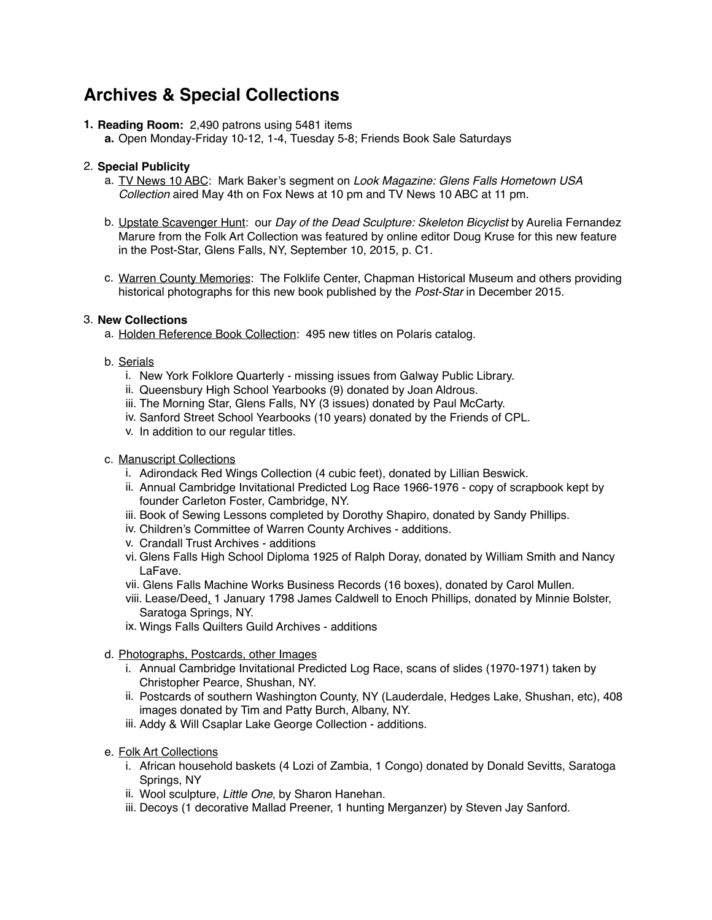## **Archives & Special Collections**

**1. Reading Room:** 2,490 patrons using 5481 items

**a.** Open Monday-Friday 10-12, 1-4, Tuesday 5-8; Friends Book Sale Saturdays

#### 2. **Special Publicity**

- a. TV News 10 ABC: Mark Baker's segment on *Look Magazine: Glens Falls Hometown USA Collection* aired May 4th on Fox News at 10 pm and TV News 10 ABC at 11 pm.
- b. Upstate Scavenger Hunt: our *Day of the Dead Sculpture: Skeleton Bicyclist* by Aurelia Fernandez Marure from the Folk Art Collection was featured by online editor Doug Kruse for this new feature in the Post-Star, Glens Falls, NY, September 10, 2015, p. C1.
- c. Warren County Memories: The Folklife Center, Chapman Historical Museum and others providing historical photographs for this new book published by the *Post-Star* in December 2015.

#### 3. **New Collections**

- a. Holden Reference Book Collection: 495 new titles on Polaris catalog.
- b. Serials
	- i. New York Folklore Quarterly missing issues from Galway Public Library.
	- ii. Queensbury High School Yearbooks (9) donated by Joan Aldrous.
	- iii. The Morning Star, Glens Falls, NY (3 issues) donated by Paul McCarty.
	- iv. Sanford Street School Yearbooks (10 years) donated by the Friends of CPL.
	- v. In addition to our regular titles.
- c. Manuscript Collections
	- i. Adirondack Red Wings Collection (4 cubic feet), donated by Lillian Beswick.
	- ii. Annual Cambridge Invitational Predicted Log Race 1966-1976 copy of scrapbook kept by founder Carleton Foster, Cambridge, NY.
	- iii. Book of Sewing Lessons completed by Dorothy Shapiro, donated by Sandy Phillips.
	- iv. Children's Committee of Warren County Archives additions.
	- v. Crandall Trust Archives additions
	- vi. Glens Falls High School Diploma 1925 of Ralph Doray, donated by William Smith and Nancy LaFave.
	- vii. Glens Falls Machine Works Business Records (16 boxes), donated by Carol Mullen.
	- viii. Lease/Deed, 1 January 1798 James Caldwell to Enoch Phillips, donated by Minnie Bolster, Saratoga Springs, NY.
	- ix. Wings Falls Quilters Guild Archives additions
- d. Photographs, Postcards, other Images
	- i. Annual Cambridge Invitational Predicted Log Race, scans of slides (1970-1971) taken by Christopher Pearce, Shushan, NY.
	- ii. Postcards of southern Washington County, NY (Lauderdale, Hedges Lake, Shushan, etc), 408 images donated by Tim and Patty Burch, Albany, NY.
	- iii. Addy & Will Csaplar Lake George Collection additions.
- e. Folk Art Collections
	- i. African household baskets (4 Lozi of Zambia, 1 Congo) donated by Donald Sevitts, Saratoga Springs, NY
	- ii. Wool sculpture, *Little One*, by Sharon Hanehan.
	- iii. Decoys (1 decorative Mallad Preener, 1 hunting Merganzer) by Steven Jay Sanford.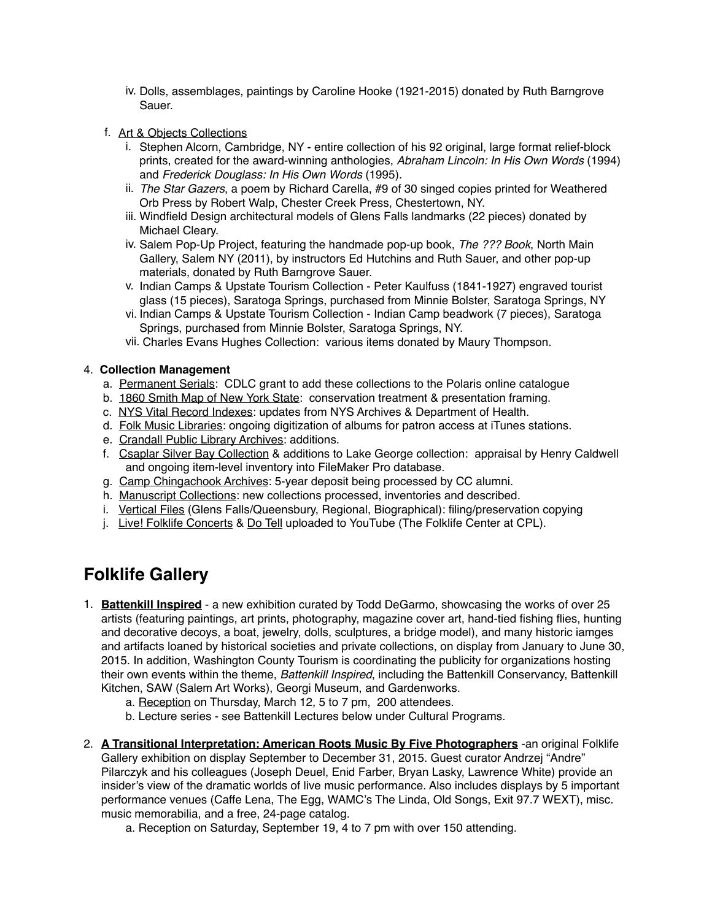- iv. Dolls, assemblages, paintings by Caroline Hooke (1921-2015) donated by Ruth Barngrove Sauer.
- f. Art & Objects Collections
	- i. Stephen Alcorn, Cambridge, NY entire collection of his 92 original, large format relief-block prints, created for the award-winning anthologies, *Abraham Lincoln: In His Own Words* (1994) and *Frederick Douglass: In His Own Words* (1995).
	- ii. *The Star Gazers*, a poem by Richard Carella, #9 of 30 singed copies printed for Weathered Orb Press by Robert Walp, Chester Creek Press, Chestertown, NY.
	- iii. Windfield Design architectural models of Glens Falls landmarks (22 pieces) donated by Michael Cleary.
	- iv. Salem Pop-Up Project, featuring the handmade pop-up book, *The ??? Book*, North Main Gallery, Salem NY (2011), by instructors Ed Hutchins and Ruth Sauer, and other pop-up materials, donated by Ruth Barngrove Sauer.
	- v. Indian Camps & Upstate Tourism Collection Peter Kaulfuss (1841-1927) engraved tourist glass (15 pieces), Saratoga Springs, purchased from Minnie Bolster, Saratoga Springs, NY
	- vi. Indian Camps & Upstate Tourism Collection Indian Camp beadwork (7 pieces), Saratoga Springs, purchased from Minnie Bolster, Saratoga Springs, NY.
	- vii. Charles Evans Hughes Collection: various items donated by Maury Thompson.

#### 4. **Collection Management**

- a. Permanent Serials: CDLC grant to add these collections to the Polaris online catalogue
- b. 1860 Smith Map of New York State: conservation treatment & presentation framing.
- c. NYS Vital Record Indexes: updates from NYS Archives & Department of Health.
- d. Folk Music Libraries: ongoing digitization of albums for patron access at iTunes stations.
- e. Crandall Public Library Archives: additions.
- f. Csaplar Silver Bay Collection & additions to Lake George collection: appraisal by Henry Caldwell and ongoing item-level inventory into FileMaker Pro database.
- g. Camp Chingachook Archives: 5-year deposit being processed by CC alumni.
- h. Manuscript Collections: new collections processed, inventories and described.
- i. Vertical Files (Glens Falls/Queensbury, Regional, Biographical): filing/preservation copying
- j. Live! Folklife Concerts & Do Tell uploaded to YouTube (The Folklife Center at CPL).

### **Folklife Gallery**

- 1. **Battenkill Inspired** a new exhibition curated by Todd DeGarmo, showcasing the works of over 25 artists (featuring paintings, art prints, photography, magazine cover art, hand-tied fishing flies, hunting and decorative decoys, a boat, jewelry, dolls, sculptures, a bridge model), and many historic iamges and artifacts loaned by historical societies and private collections, on display from January to June 30, 2015. In addition, Washington County Tourism is coordinating the publicity for organizations hosting their own events within the theme, *Battenkill Inspired*, including the Battenkill Conservancy, Battenkill Kitchen, SAW (Salem Art Works), Georgi Museum, and Gardenworks.
	- a. Reception on Thursday, March 12, 5 to 7 pm, 200 attendees.
	- b. Lecture series see Battenkill Lectures below under Cultural Programs.
- 2. **A Transitional Interpretation: American Roots Music By Five Photographers** -an original Folklife Gallery exhibition on display September to December 31, 2015. Guest curator Andrzej "Andre" Pilarczyk and his colleagues (Joseph Deuel, Enid Farber, Bryan Lasky, Lawrence White) provide an insider's view of the dramatic worlds of live music performance. Also includes displays by 5 important performance venues (Caffe Lena, The Egg, WAMC's The Linda, Old Songs, Exit 97.7 WEXT), misc. music memorabilia, and a free, 24-page catalog.
	- a. Reception on Saturday, September 19, 4 to 7 pm with over 150 attending.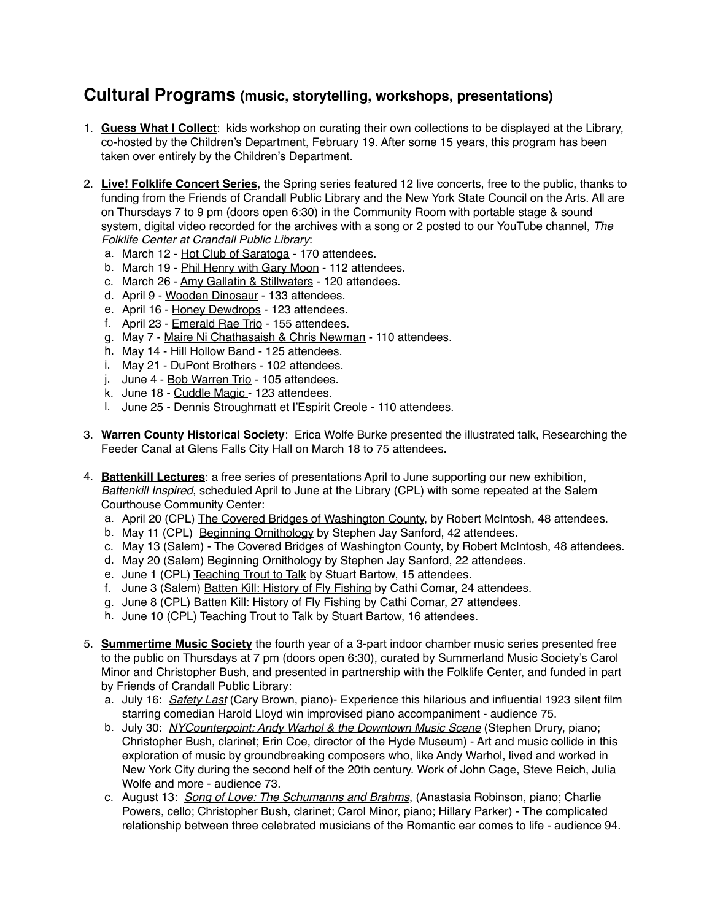### **Cultural Programs (music, storytelling, workshops, presentations)**

- 1. **Guess What I Collect**: kids workshop on curating their own collections to be displayed at the Library, co-hosted by the Children's Department, February 19. After some 15 years, this program has been taken over entirely by the Children's Department.
- 2. **Live! Folklife Concert Series**, the Spring series featured 12 live concerts, free to the public, thanks to funding from the Friends of Crandall Public Library and the New York State Council on the Arts. All are on Thursdays 7 to 9 pm (doors open 6:30) in the Community Room with portable stage & sound system, digital video recorded for the archives with a song or 2 posted to our YouTube channel, *The Folklife Center at Crandall Public Library*:
	- a. March 12 Hot Club of Saratoga 170 attendees.
	- b. March 19 Phil Henry with Gary Moon 112 attendees.
	- c. March 26 Amy Gallatin & Stillwaters 120 attendees.
	- d. April 9 Wooden Dinosaur 133 attendees.
	- e. April 16 Honey Dewdrops 123 attendees.
	- f. April 23 Emerald Rae Trio 155 attendees.
	- g. May 7 Maire Ni Chathasaish & Chris Newman 110 attendees.
	- h. May 14 Hill Hollow Band 125 attendees.
	- i. May 21 DuPont Brothers 102 attendees.
	- j. June 4 Bob Warren Trio 105 attendees.
	- k. June 18 Cuddle Magic 123 attendees.
	- l. June 25 Dennis Stroughmatt et l'Espirit Creole 110 attendees.
- 3. **Warren County Historical Society**: Erica Wolfe Burke presented the illustrated talk, Researching the Feeder Canal at Glens Falls City Hall on March 18 to 75 attendees.
- 4. **Battenkill Lectures**: a free series of presentations April to June supporting our new exhibition, *Battenkill Inspired*, scheduled April to June at the Library (CPL) with some repeated at the Salem Courthouse Community Center:
	- a. April 20 (CPL) The Covered Bridges of Washington County, by Robert McIntosh, 48 attendees.
	- b. May 11 (CPL) Beginning Ornithology by Stephen Jay Sanford, 42 attendees.
	- c. May 13 (Salem) The Covered Bridges of Washington County, by Robert McIntosh, 48 attendees.
	- d. May 20 (Salem) Beginning Ornithology by Stephen Jay Sanford, 22 attendees.
	- e. June 1 (CPL) Teaching Trout to Talk by Stuart Bartow, 15 attendees.
	- f. June 3 (Salem) Batten Kill: History of Fly Fishing by Cathi Comar, 24 attendees.
	- g. June 8 (CPL) Batten Kill: History of Fly Fishing by Cathi Comar, 27 attendees.
	- h. June 10 (CPL) Teaching Trout to Talk by Stuart Bartow, 16 attendees.
- 5. **Summertime Music Society** the fourth year of a 3-part indoor chamber music series presented free to the public on Thursdays at 7 pm (doors open 6:30), curated by Summerland Music Society's Carol Minor and Christopher Bush, and presented in partnership with the Folklife Center, and funded in part by Friends of Crandall Public Library:
	- a. July 16: *Safety Last* (Cary Brown, piano)- Experience this hilarious and influential 1923 silent film starring comedian Harold Lloyd win improvised piano accompaniment - audience 75.
	- b. July 30: *NYCounterpoint: Andy Warhol & the Downtown Music Scene* (Stephen Drury, piano; Christopher Bush, clarinet; Erin Coe, director of the Hyde Museum) - Art and music collide in this exploration of music by groundbreaking composers who, like Andy Warhol, lived and worked in New York City during the second helf of the 20th century. Work of John Cage, Steve Reich, Julia Wolfe and more - audience 73.
	- c. August 13: *Song of Love: The Schumanns and Brahms*, (Anastasia Robinson, piano; Charlie Powers, cello; Christopher Bush, clarinet; Carol Minor, piano; Hillary Parker) - The complicated relationship between three celebrated musicians of the Romantic ear comes to life - audience 94.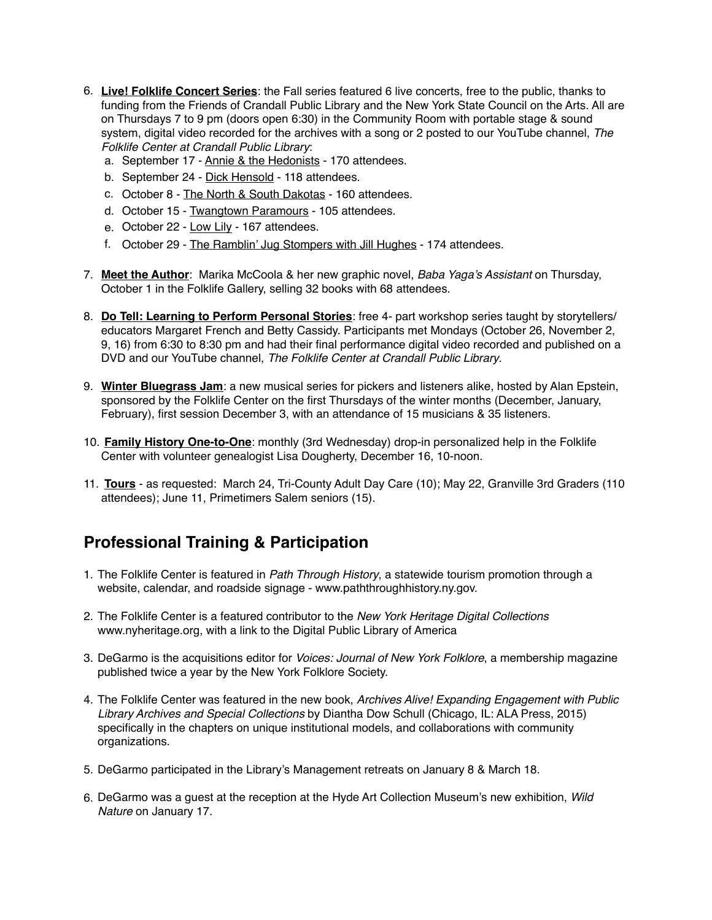- 6. **Live! Folklife Concert Series**: the Fall series featured 6 live concerts, free to the public, thanks to funding from the Friends of Crandall Public Library and the New York State Council on the Arts. All are on Thursdays 7 to 9 pm (doors open 6:30) in the Community Room with portable stage & sound system, digital video recorded for the archives with a song or 2 posted to our YouTube channel, *The Folklife Center at Crandall Public Library*:
	- a. September 17 Annie & the Hedonists 170 attendees.
	- b. September 24 Dick Hensold 118 attendees.
	- c. October 8 The North & South Dakotas 160 attendees.
	- d. October 15 Twangtown Paramours 105 attendees.
	- e. October 22 Low Lily 167 attendees.
	- f. October 29 The Ramblin' Jug Stompers with Jill Hughes 174 attendees.
- 7. **Meet the Author**: Marika McCoola & her new graphic novel, *Baba Yaga's Assistant* on Thursday, October 1 in the Folklife Gallery, selling 32 books with 68 attendees.
- 8. **Do Tell: Learning to Perform Personal Stories**: free 4- part workshop series taught by storytellers/ educators Margaret French and Betty Cassidy. Participants met Mondays (October 26, November 2, 9, 16) from 6:30 to 8:30 pm and had their final performance digital video recorded and published on a DVD and our YouTube channel, *The Folklife Center at Crandall Public Library*.
- 9. **Winter Bluegrass Jam**: a new musical series for pickers and listeners alike, hosted by Alan Epstein, sponsored by the Folklife Center on the first Thursdays of the winter months (December, January, February), first session December 3, with an attendance of 15 musicians & 35 listeners.
- 10. **Family History One-to-One**: monthly (3rd Wednesday) drop-in personalized help in the Folklife Center with volunteer genealogist Lisa Dougherty, December 16, 10-noon.
- 11. **Tours** as requested: March 24, Tri-County Adult Day Care (10); May 22, Granville 3rd Graders (110 attendees); June 11, Primetimers Salem seniors (15).

### **Professional Training & Participation**

- 1. The Folklife Center is featured in *Path Through History*, a statewide tourism promotion through a website, calendar, and roadside signage - [www.paththroughhistory.ny.gov](http://www.paththroughhistory.ny.gov).
- 2. The Folklife Center is a featured contributor to the *New York Heritage Digital Collections* [www.nyheritage.org,](http://www.nyheritage.org) with a link to the Digital Public Library of America
- 3. DeGarmo is the acquisitions editor for *Voices: Journal of New York Folklore*, a membership magazine published twice a year by the New York Folklore Society.
- 4. The Folklife Center was featured in the new book, *Archives Alive! Expanding Engagement with Public Library Archives and Special Collections* by Diantha Dow Schull (Chicago, IL: ALA Press, 2015) specifically in the chapters on unique institutional models, and collaborations with community organizations.
- 5. DeGarmo participated in the Library's Management retreats on January 8 & March 18.
- 6. DeGarmo was a guest at the reception at the Hyde Art Collection Museum's new exhibition, *Wild Nature* on January 17.